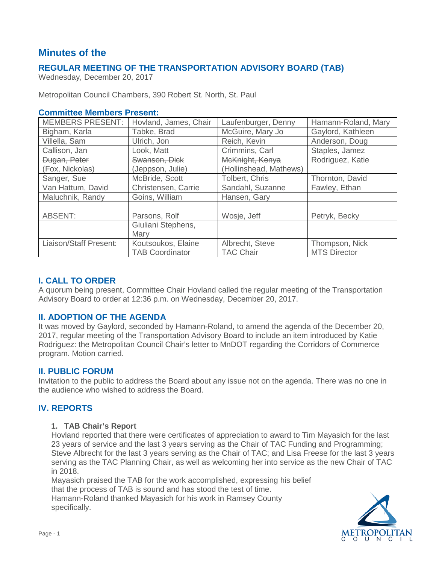# **Minutes of the**

# **REGULAR MEETING OF THE TRANSPORTATION ADVISORY BOARD (TAB)**

Wednesday, December 20, 2017

Metropolitan Council Chambers, 390 Robert St. North, St. Paul

# **Committee Members Present:**

| <b>MEMBERS PRESENT:</b> | Hovland, James, Chair  | Laufenburger, Denny    | Hamann-Roland, Mary |
|-------------------------|------------------------|------------------------|---------------------|
| Bigham, Karla           | Tabke, Brad            | McGuire, Mary Jo       | Gaylord, Kathleen   |
| Villella, Sam           | Ulrich, Jon            | Reich, Kevin           | Anderson, Doug      |
| Callison, Jan           | Look, Matt             | Crimmins, Carl         | Staples, Jamez      |
| Dugan, Peter            | Swanson, Dick          | McKnight, Kenya        | Rodriguez, Katie    |
| (Fox, Nickolas)         | (Jeppson, Julie)       | (Hollinshead, Mathews) |                     |
| Sanger, Sue             | McBride, Scott         | Tolbert, Chris         | Thornton, David     |
| Van Hattum, David       | Christensen, Carrie    | Sandahl, Suzanne       | Fawley, Ethan       |
| Maluchnik, Randy        | Goins, William         | Hansen, Gary           |                     |
|                         |                        |                        |                     |
| <b>ABSENT:</b>          | Parsons, Rolf          | Wosje, Jeff            | Petryk, Becky       |
|                         | Giuliani Stephens,     |                        |                     |
|                         | Mary                   |                        |                     |
| Liaison/Staff Present:  | Koutsoukos, Elaine     | Albrecht, Steve        | Thompson, Nick      |
|                         | <b>TAB Coordinator</b> | <b>TAC Chair</b>       | <b>MTS Director</b> |

# **I. CALL TO ORDER**

A quorum being present, Committee Chair Hovland called the regular meeting of the Transportation Advisory Board to order at 12:36 p.m. on Wednesday, December 20, 2017.

# **II. ADOPTION OF THE AGENDA**

It was moved by Gaylord, seconded by Hamann-Roland, to amend the agenda of the December 20, 2017, regular meeting of the Transportation Advisory Board to include an item introduced by Katie Rodriguez: the Metropolitan Council Chair's letter to MnDOT regarding the Corridors of Commerce program. Motion carried.

# **II. PUBLIC FORUM**

Invitation to the public to address the Board about any issue not on the agenda. There was no one in the audience who wished to address the Board.

# **IV. REPORTS**

# **1. TAB Chair's Report**

Hovland reported that there were certificates of appreciation to award to Tim Mayasich for the last 23 years of service and the last 3 years serving as the Chair of TAC Funding and Programming; Steve Albrecht for the last 3 years serving as the Chair of TAC; and Lisa Freese for the last 3 years serving as the TAC Planning Chair, as well as welcoming her into service as the new Chair of TAC in 2018.

Mayasich praised the TAB for the work accomplished, expressing his belief that the process of TAB is sound and has stood the test of time.

Hamann-Roland thanked Mayasich for his work in Ramsey County specifically.

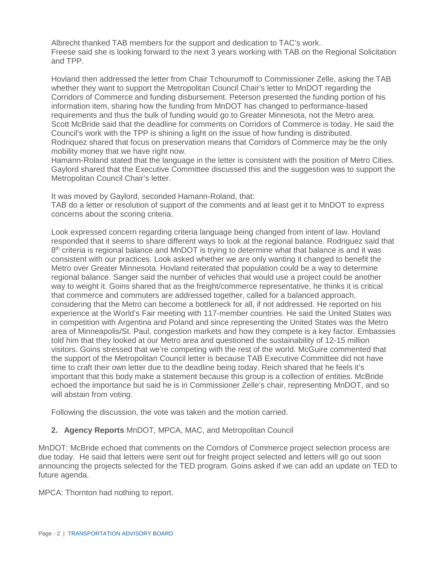Albrecht thanked TAB members for the support and dedication to TAC's work. Freese said she is looking forward to the next 3 years working with TAB on the Regional Solicitation and TPP.

Hovland then addressed the letter from Chair Tchourumoff to Commissioner Zelle, asking the TAB whether they want to support the Metropolitan Council Chair's letter to MnDOT regarding the Corridors of Commerce and funding disbursement. Peterson presented the funding portion of his information item, sharing how the funding from MnDOT has changed to performance-based requirements and thus the bulk of funding would go to Greater Minnesota, not the Metro area. Scott McBride said that the deadline for comments on Corridors of Commerce is today. He said the Council's work with the TPP is shining a light on the issue of how funding is distributed. Rodriquez shared that focus on preservation means that Corridors of Commerce may be the only mobility money that we have right now.

Hamann-Roland stated that the language in the letter is consistent with the position of Metro Cities. Gaylord shared that the Executive Committee discussed this and the suggestion was to support the Metropolitan Council Chair's letter.

It was moved by Gaylord, seconded Hamann-Roland, that:

TAB do a letter or resolution of support of the comments and at least get it to MnDOT to express concerns about the scoring criteria.

Look expressed concern regarding criteria language being changed from intent of law. Hovland responded that it seems to share different ways to look at the regional balance. Rodriguez said that 8<sup>th</sup> criteria is regional balance and MnDOT is trying to determine what that balance is and it was consistent with our practices. Look asked whether we are only wanting it changed to benefit the Metro over Greater Minnesota. Hovland reiterated that population could be a way to determine regional balance. Sanger said the number of vehicles that would use a project could be another way to weight it. Goins shared that as the freight/commerce representative, he thinks it is critical that commerce and commuters are addressed together, called for a balanced approach, considering that the Metro can become a bottleneck for all, if not addressed. He reported on his experience at the World's Fair meeting with 117-member countries. He said the United States was in competition with Argentina and Poland and since representing the United States was the Metro area of Minneapolis/St. Paul, congestion markets and how they compete is a key factor. Embassies told him that they looked at our Metro area and questioned the sustainability of 12-15 million visitors. Goins stressed that we're competing with the rest of the world. McGuire commented that the support of the Metropolitan Council letter is because TAB Executive Committee did not have time to craft their own letter due to the deadline being today. Reich shared that he feels it's important that this body make a statement because this group is a collection of entities. McBride echoed the importance but said he is in Commissioner Zelle's chair, representing MnDOT, and so will abstain from voting.

Following the discussion, the vote was taken and the motion carried.

# **2. Agency Reports** MnDOT, MPCA, MAC, and Metropolitan Council

MnDOT: McBride echoed that comments on the Corridors of Commerce project selection process are due today. He said that letters were sent out for freight project selected and letters will go out soon announcing the projects selected for the TED program. Goins asked if we can add an update on TED to future agenda.

MPCA: Thornton had nothing to report.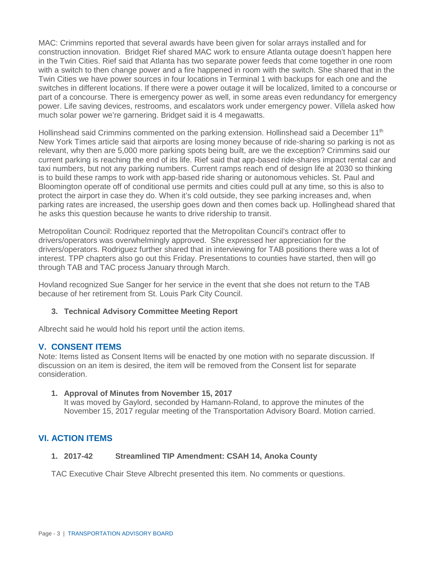MAC: Crimmins reported that several awards have been given for solar arrays installed and for construction innovation. Bridget Rief shared MAC work to ensure Atlanta outage doesn't happen here in the Twin Cities. Rief said that Atlanta has two separate power feeds that come together in one room with a switch to then change power and a fire happened in room with the switch. She shared that in the Twin Cities we have power sources in four locations in Terminal 1 with backups for each one and the switches in different locations. If there were a power outage it will be localized, limited to a concourse or part of a concourse. There is emergency power as well, in some areas even redundancy for emergency power. Life saving devices, restrooms, and escalators work under emergency power. Villela asked how much solar power we're garnering. Bridget said it is 4 megawatts.

Hollinshead said Crimmins commented on the parking extension. Hollinshead said a December 11<sup>th</sup> New York Times article said that airports are losing money because of ride-sharing so parking is not as relevant, why then are 5,000 more parking spots being built, are we the exception? Crimmins said our current parking is reaching the end of its life. Rief said that app-based ride-shares impact rental car and taxi numbers, but not any parking numbers. Current ramps reach end of design life at 2030 so thinking is to build these ramps to work with app-based ride sharing or autonomous vehicles. St. Paul and Bloomington operate off of conditional use permits and cities could pull at any time, so this is also to protect the airport in case they do. When it's cold outside, they see parking increases and, when parking rates are increased, the usership goes down and then comes back up. Hollinghead shared that he asks this question because he wants to drive ridership to transit.

Metropolitan Council: Rodriquez reported that the Metropolitan Council's contract offer to drivers/operators was overwhelmingly approved. She expressed her appreciation for the drivers/operators. Rodriguez further shared that in interviewing for TAB positions there was a lot of interest. TPP chapters also go out this Friday. Presentations to counties have started, then will go through TAB and TAC process January through March.

Hovland recognized Sue Sanger for her service in the event that she does not return to the TAB because of her retirement from St. Louis Park City Council.

# **3. Technical Advisory Committee Meeting Report**

Albrecht said he would hold his report until the action items.

# **V. CONSENT ITEMS**

Note: Items listed as Consent Items will be enacted by one motion with no separate discussion. If discussion on an item is desired, the item will be removed from the Consent list for separate consideration.

#### **1. Approval of Minutes from November 15, 2017**

It was moved by Gaylord, seconded by Hamann-Roland, to approve the minutes of the November 15, 2017 regular meeting of the Transportation Advisory Board. Motion carried.

# **VI. ACTION ITEMS**

#### **1. 2017-42 Streamlined TIP Amendment: CSAH 14, Anoka County**

TAC Executive Chair Steve Albrecht presented this item. No comments or questions.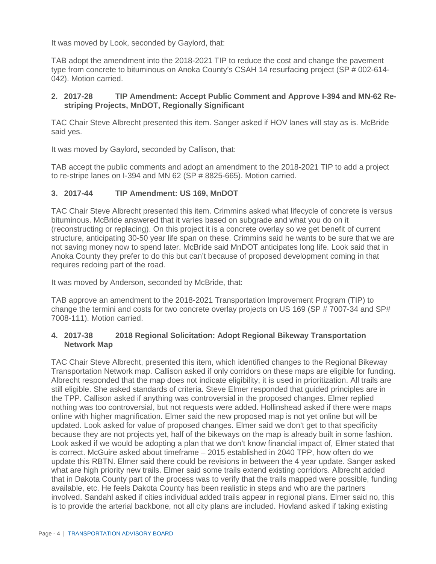It was moved by Look, seconded by Gaylord, that:

TAB adopt the amendment into the 2018-2021 TIP to reduce the cost and change the pavement type from concrete to bituminous on Anoka County's CSAH 14 resurfacing project (SP # 002-614- 042). Motion carried.

# **2. 2017-28 TIP Amendment: Accept Public Comment and Approve I-394 and MN-62 Restriping Projects, MnDOT, Regionally Significant**

TAC Chair Steve Albrecht presented this item. Sanger asked if HOV lanes will stay as is. McBride said yes.

It was moved by Gaylord, seconded by Callison, that:

TAB accept the public comments and adopt an amendment to the 2018-2021 TIP to add a project to re-stripe lanes on I-394 and MN 62 (SP # 8825-665). Motion carried.

# **3. 2017-44 TIP Amendment: US 169, MnDOT**

TAC Chair Steve Albrecht presented this item. Crimmins asked what lifecycle of concrete is versus bituminous. McBride answered that it varies based on subgrade and what you do on it (reconstructing or replacing). On this project it is a concrete overlay so we get benefit of current structure, anticipating 30-50 year life span on these. Crimmins said he wants to be sure that we are not saving money now to spend later. McBride said MnDOT anticipates long life. Look said that in Anoka County they prefer to do this but can't because of proposed development coming in that requires redoing part of the road.

It was moved by Anderson, seconded by McBride, that:

TAB approve an amendment to the 2018-2021 Transportation Improvement Program (TIP) to change the termini and costs for two concrete overlay projects on US 169 (SP # 7007-34 and SP# 7008-111). Motion carried.

#### **4. 2017-38 2018 Regional Solicitation: Adopt Regional Bikeway Transportation Network Map**

TAC Chair Steve Albrecht, presented this item, which identified changes to the Regional Bikeway Transportation Network map. Callison asked if only corridors on these maps are eligible for funding. Albrecht responded that the map does not indicate eligibility; it is used in prioritization. All trails are still eligible. She asked standards of criteria. Steve Elmer responded that guided principles are in the TPP. Callison asked if anything was controversial in the proposed changes. Elmer replied nothing was too controversial, but not requests were added. Hollinshead asked if there were maps online with higher magnification. Elmer said the new proposed map is not yet online but will be updated. Look asked for value of proposed changes. Elmer said we don't get to that specificity because they are not projects yet, half of the bikeways on the map is already built in some fashion. Look asked if we would be adopting a plan that we don't know financial impact of, Elmer stated that is correct. McGuire asked about timeframe – 2015 established in 2040 TPP, how often do we update this RBTN. Elmer said there could be revisions in between the 4 year update. Sanger asked what are high priority new trails. Elmer said some trails extend existing corridors. Albrecht added that in Dakota County part of the process was to verify that the trails mapped were possible, funding available, etc. He feels Dakota County has been realistic in steps and who are the partners involved. Sandahl asked if cities individual added trails appear in regional plans. Elmer said no, this is to provide the arterial backbone, not all city plans are included. Hovland asked if taking existing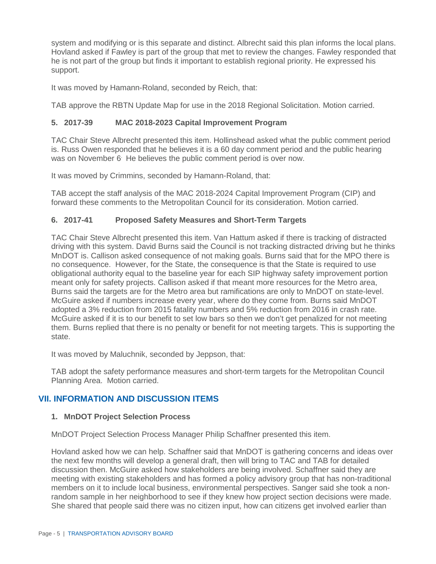system and modifying or is this separate and distinct. Albrecht said this plan informs the local plans. Hovland asked if Fawley is part of the group that met to review the changes. Fawley responded that he is not part of the group but finds it important to establish regional priority. He expressed his support.

It was moved by Hamann-Roland, seconded by Reich, that:

TAB approve the RBTN Update Map for use in the 2018 Regional Solicitation. Motion carried.

### **5. 2017-39 MAC 2018-2023 Capital Improvement Program**

TAC Chair Steve Albrecht presented this item. Hollinshead asked what the public comment period is. Russ Owen responded that he believes it is a 60 day comment period and the public hearing was on November 6. He believes the public comment period is over now.

It was moved by Crimmins, seconded by Hamann-Roland, that:

TAB accept the staff analysis of the MAC 2018-2024 Capital Improvement Program (CIP) and forward these comments to the Metropolitan Council for its consideration. Motion carried.

# **6. 2017-41 Proposed Safety Measures and Short-Term Targets**

TAC Chair Steve Albrecht presented this item. Van Hattum asked if there is tracking of distracted driving with this system. David Burns said the Council is not tracking distracted driving but he thinks MnDOT is. Callison asked consequence of not making goals. Burns said that for the MPO there is no consequence. However, for the State, the consequence is that the State is required to use obligational authority equal to the baseline year for each SIP highway safety improvement portion meant only for safety projects. Callison asked if that meant more resources for the Metro area, Burns said the targets are for the Metro area but ramifications are only to MnDOT on state-level. McGuire asked if numbers increase every year, where do they come from. Burns said MnDOT adopted a 3% reduction from 2015 fatality numbers and 5% reduction from 2016 in crash rate. McGuire asked if it is to our benefit to set low bars so then we don't get penalized for not meeting them. Burns replied that there is no penalty or benefit for not meeting targets. This is supporting the state.

It was moved by Maluchnik, seconded by Jeppson, that:

TAB adopt the safety performance measures and short-term targets for the Metropolitan Council Planning Area. Motion carried.

# **VII. INFORMATION AND DISCUSSION ITEMS**

#### **1. MnDOT Project Selection Process**

MnDOT Project Selection Process Manager Philip Schaffner presented this item.

Hovland asked how we can help. Schaffner said that MnDOT is gathering concerns and ideas over the next few months will develop a general draft, then will bring to TAC and TAB for detailed discussion then. McGuire asked how stakeholders are being involved. Schaffner said they are meeting with existing stakeholders and has formed a policy advisory group that has non-traditional members on it to include local business, environmental perspectives. Sanger said she took a nonrandom sample in her neighborhood to see if they knew how project section decisions were made. She shared that people said there was no citizen input, how can citizens get involved earlier than